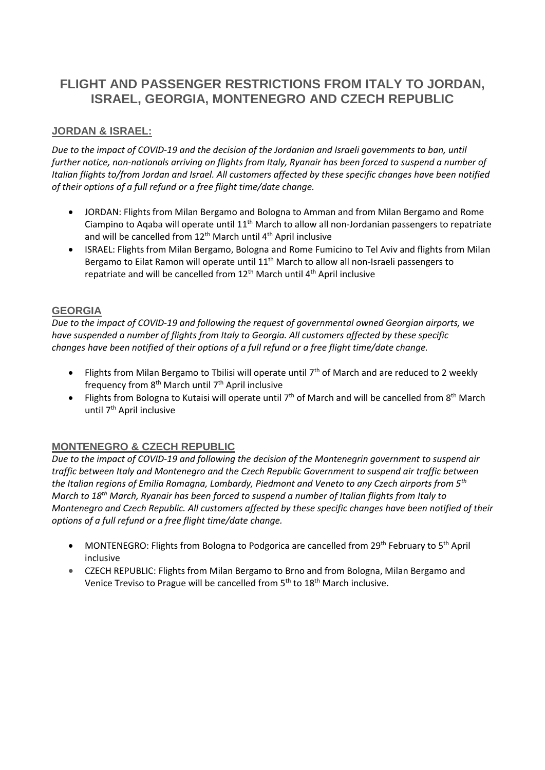# **FLIGHT AND PASSENGER RESTRICTIONS FROM ITALY TO JORDAN, ISRAEL, GEORGIA, MONTENEGRO AND CZECH REPUBLIC**

## **JORDAN & ISRAEL:**

*Due to the impact of COVID-19 and the decision of the Jordanian and Israeli governments to ban, until further notice, non-nationals arriving on flights from Italy, Ryanair has been forced to suspend a number of Italian flights to/from Jordan and Israel. All customers affected by these specific changes have been notified of their options of a full refund or a free flight time/date change.*

- JORDAN: Flights from Milan Bergamo and Bologna to Amman and from Milan Bergamo and Rome Ciampino to Aqaba will operate until 11th March to allow all non-Jordanian passengers to repatriate and will be cancelled from  $12<sup>th</sup>$  March until  $4<sup>th</sup>$  April inclusive
- ISRAEL: Flights from Milan Bergamo, Bologna and Rome Fumicino to Tel Aviv and flights from Milan Bergamo to Eilat Ramon will operate until 11<sup>th</sup> March to allow all non-Israeli passengers to repatriate and will be cancelled from 12<sup>th</sup> March until 4<sup>th</sup> April inclusive

### **GEORGIA**

*Due to the impact of COVID-19 and following the request of governmental owned Georgian airports, we have suspended a number of flights from Italy to Georgia. All customers affected by these specific changes have been notified of their options of a full refund or a free flight time/date change.*

- Flights from Milan Bergamo to Tbilisi will operate until  $7<sup>th</sup>$  of March and are reduced to 2 weekly frequency from 8<sup>th</sup> March until 7<sup>th</sup> April inclusive
- Flights from Bologna to Kutaisi will operate until  $7<sup>th</sup>$  of March and will be cancelled from  $8<sup>th</sup>$  March until 7<sup>th</sup> April inclusive

### **MONTENEGRO & CZECH REPUBLIC**

*Due to the impact of COVID-19 and following the decision of the Montenegrin government to suspend air traffic between Italy and Montenegro and the Czech Republic Government to suspend air traffic between the Italian regions of Emilia Romagna, Lombardy, Piedmont and Veneto to any Czech airports from 5th March to 18th March, Ryanair has been forced to suspend a number of Italian flights from Italy to Montenegro and Czech Republic. All customers affected by these specific changes have been notified of their options of a full refund or a free flight time/date change.*

- MONTENEGRO: Flights from Bologna to Podgorica are cancelled from 29<sup>th</sup> February to 5<sup>th</sup> April inclusive
- CZECH REPUBLIC: Flights from Milan Bergamo to Brno and from Bologna, Milan Bergamo and Venice Treviso to Prague will be cancelled from 5<sup>th</sup> to 18<sup>th</sup> March inclusive.